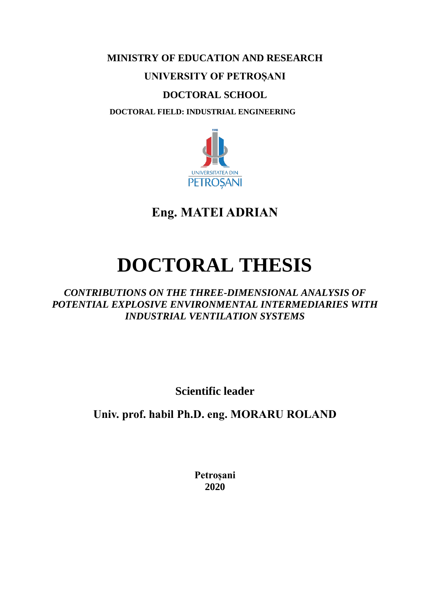# **MINISTRY OF EDUCATION AND RESEARCH**

# **UNIVERSITY OF PETROȘANI**

# **DOCTORAL SCHOOL**

 **DOCTORAL FIELD: INDUSTRIAL ENGINEERING**



**Eng. MATEI ADRIAN**

# **DOCTORAL THESIS**

*CONTRIBUTIONS ON THE THREE-DIMENSIONAL ANALYSIS OF POTENTIAL EXPLOSIVE ENVIRONMENTAL INTERMEDIARIES WITH INDUSTRIAL VENTILATION SYSTEMS*

**Scientific leader**

**Univ. prof. habil Ph.D. eng. MORARU ROLAND**

**Petroșani 2020**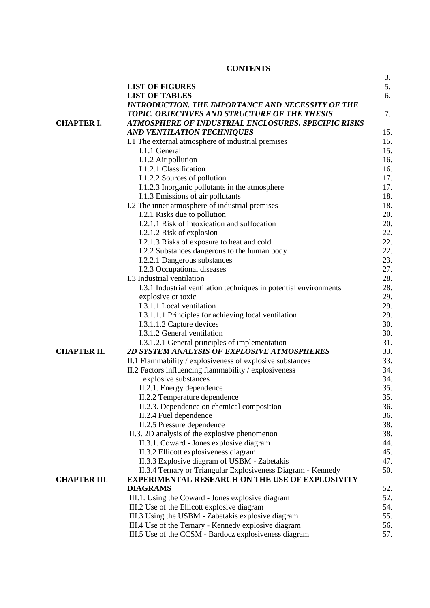# **CONTENTS**

|                     |                                                                   | 3.  |
|---------------------|-------------------------------------------------------------------|-----|
|                     | <b>LIST OF FIGURES</b>                                            | 5.  |
|                     | <b>LIST OF TABLES</b>                                             | 6.  |
|                     | <b>INTRODUCTION. THE IMPORTANCE AND NECESSITY OF THE</b>          |     |
|                     | TOPIC. OBJECTIVES AND STRUCTURE OF THE THESIS                     | 7.  |
| <b>CHAPTER I.</b>   | ATMOSPHERE OF INDUSTRIAL ENCLOSURES. SPECIFIC RISKS               |     |
|                     | <b>AND VENTILATION TECHNIQUES</b>                                 | 15. |
|                     | I.1 The external atmosphere of industrial premises                | 15. |
|                     | I.1.1 General                                                     | 15. |
|                     | I.1.2 Air pollution                                               | 16. |
|                     | I.1.2.1 Classification                                            | 16. |
|                     | I.1.2.2 Sources of pollution                                      | 17. |
|                     | I.1.2.3 Inorganic pollutants in the atmosphere                    | 17. |
|                     | I.1.3 Emissions of air pollutants                                 | 18. |
|                     | I.2 The inner atmosphere of industrial premises                   | 18. |
|                     | I.2.1 Risks due to pollution                                      | 20. |
|                     | I.2.1.1 Risk of intoxication and suffocation                      | 20. |
|                     | I.2.1.2 Risk of explosion                                         | 22. |
|                     | I.2.1.3 Risks of exposure to heat and cold                        | 22. |
|                     | I.2.2 Substances dangerous to the human body                      | 22. |
|                     | I.2.2.1 Dangerous substances                                      | 23. |
|                     | I.2.3 Occupational diseases                                       | 27. |
|                     | I.3 Industrial ventilation                                        | 28. |
|                     | I.3.1 Industrial ventilation techniques in potential environments | 28. |
|                     | explosive or toxic                                                | 29. |
|                     | I.3.1.1 Local ventilation                                         | 29. |
|                     |                                                                   | 29. |
|                     | I.3.1.1.1 Principles for achieving local ventilation              | 30. |
|                     | I.3.1.1.2 Capture devices                                         |     |
|                     | I.3.1.2 General ventilation                                       | 30. |
|                     | I.3.1.2.1 General principles of implementation                    | 31. |
| <b>CHAPTER II.</b>  | 2D SYSTEM ANALYSIS OF EXPLOSIVE ATMOSPHERES                       | 33. |
|                     | II.1 Flammability / explosiveness of explosive substances         | 33. |
|                     | II.2 Factors influencing flammability / explosiveness             | 34. |
|                     | explosive substances                                              | 34. |
|                     | II.2.1. Energy dependence                                         | 35. |
|                     | II.2.2 Temperature dependence                                     | 35. |
|                     | II.2.3. Dependence on chemical composition                        | 36. |
|                     | II.2.4 Fuel dependence                                            | 36. |
|                     | II.2.5 Pressure dependence                                        | 38. |
|                     | II.3. 2D analysis of the explosive phenomenon                     | 38. |
|                     | II.3.1. Coward - Jones explosive diagram                          | 44. |
|                     | II.3.2 Ellicott explosiveness diagram                             | 45. |
|                     | II.3.3 Explosive diagram of USBM - Zabetakis                      | 47. |
|                     | II.3.4 Ternary or Triangular Explosiveness Diagram - Kennedy      | 50. |
| <b>CHAPTER III.</b> | <b>EXPERIMENTAL RESEARCH ON THE USE OF EXPLOSIVITY</b>            |     |
|                     | <b>DIAGRAMS</b>                                                   | 52. |
|                     | III.1. Using the Coward - Jones explosive diagram                 | 52. |
|                     | III.2 Use of the Ellicott explosive diagram                       | 54. |
|                     | III.3 Using the USBM - Zabetakis explosive diagram                | 55. |
|                     | III.4 Use of the Ternary - Kennedy explosive diagram              | 56. |
|                     | III.5 Use of the CCSM - Bardocz explosiveness diagram             | 57. |
|                     |                                                                   |     |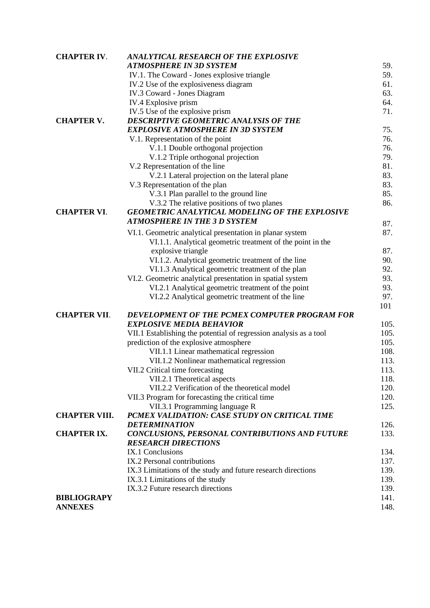| <b>CHAPTER IV.</b>   | ANALYTICAL RESEARCH OF THE EXPLOSIVE                              |      |
|----------------------|-------------------------------------------------------------------|------|
|                      | <b>ATMOSPHERE IN 3D SYSTEM</b>                                    | 59.  |
|                      | IV.1. The Coward - Jones explosive triangle                       | 59.  |
|                      | IV.2 Use of the explosiveness diagram                             | 61.  |
|                      | IV.3 Coward - Jones Diagram                                       | 63.  |
|                      | IV.4 Explosive prism                                              | 64.  |
|                      | IV.5 Use of the explosive prism                                   | 71.  |
| <b>CHAPTER V.</b>    | DESCRIPTIVE GEOMETRIC ANALYSIS OF THE                             |      |
|                      | <b>EXPLOSIVE ATMOSPHERE IN 3D SYSTEM</b>                          | 75.  |
|                      | V.1. Representation of the point                                  | 76.  |
|                      | V.1.1 Double orthogonal projection                                | 76.  |
|                      | V.1.2 Triple orthogonal projection                                | 79.  |
|                      | V.2 Representation of the line                                    | 81.  |
|                      | V.2.1 Lateral projection on the lateral plane                     | 83.  |
|                      | V.3 Representation of the plan                                    | 83.  |
|                      | V.3.1 Plan parallel to the ground line                            | 85.  |
|                      | V.3.2 The relative positions of two planes                        | 86.  |
| <b>CHAPTER VI.</b>   | <b>GEOMETRIC ANALYTICAL MODELING OF THE EXPLOSIVE</b>             |      |
|                      | <b>ATMOSPHERE IN THE 3 D SYSTEM</b>                               | 87.  |
|                      | VI.1. Geometric analytical presentation in planar system          | 87.  |
|                      | VI.1.1. Analytical geometric treatment of the point in the        |      |
|                      | explosive triangle                                                | 87.  |
|                      | VI.1.2. Analytical geometric treatment of the line                | 90.  |
|                      | VI.1.3 Analytical geometric treatment of the plan                 | 92.  |
|                      | VI.2. Geometric analytical presentation in spatial system         | 93.  |
|                      | VI.2.1 Analytical geometric treatment of the point                | 93.  |
|                      | VI.2.2 Analytical geometric treatment of the line                 | 97.  |
|                      |                                                                   | 101  |
| <b>CHAPTER VII.</b>  | DEVELOPMENT OF THE PCMEX COMPUTER PROGRAM FOR                     |      |
|                      | <b>EXPLOSIVE MEDIA BEHAVIOR</b>                                   | 105. |
|                      | VII.1 Establishing the potential of regression analysis as a tool | 105. |
|                      | prediction of the explosive atmosphere                            | 105. |
|                      | VII.1.1 Linear mathematical regression                            | 108. |
|                      | VII.1.2 Nonlinear mathematical regression                         | 113. |
|                      | VII.2 Critical time forecasting                                   | 113. |
|                      | VII.2.1 Theoretical aspects                                       | 118. |
|                      | VII.2.2 Verification of the theoretical model                     | 120. |
|                      | VII.3 Program for forecasting the critical time                   | 120. |
|                      | VII.3.1 Programming language R                                    | 125. |
| <b>CHAPTER VIII.</b> | PCMEX VALIDATION: CASE STUDY ON CRITICAL TIME                     |      |
|                      | <b>DETERMINATION</b>                                              | 126. |
| <b>CHAPTER IX.</b>   | CONCLUSIONS, PERSONAL CONTRIBUTIONS AND FUTURE                    | 133. |
|                      | <b>RESEARCH DIRECTIONS</b>                                        |      |
|                      | IX.1 Conclusions                                                  | 134. |
|                      | IX.2 Personal contributions                                       | 137. |
|                      | IX.3 Limitations of the study and future research directions      | 139. |
|                      | IX.3.1 Limitations of the study                                   | 139. |
|                      | IX.3.2 Future research directions                                 | 139. |
| <b>BIBLIOGRAPY</b>   |                                                                   | 141. |
| <b>ANNEXES</b>       |                                                                   | 148. |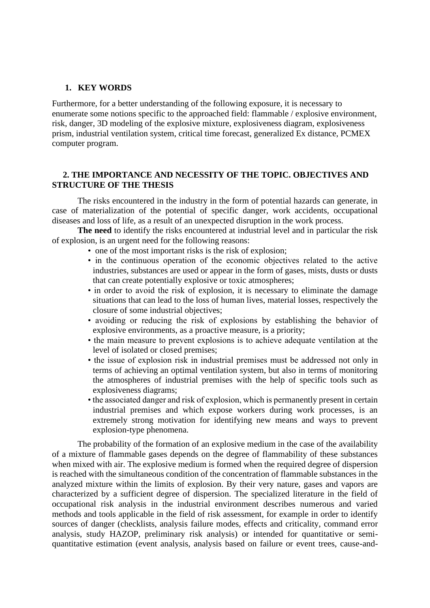#### **1. KEY WORDS**

Furthermore, for a better understanding of the following exposure, it is necessary to enumerate some notions specific to the approached field: flammable / explosive environment, risk, danger, 3D modeling of the explosive mixture, explosiveness diagram, explosiveness prism, industrial ventilation system, critical time forecast, generalized Ex distance, PCMEX computer program.

## **2. THE IMPORTANCE AND NECESSITY OF THE TOPIC. OBJECTIVES AND STRUCTURE OF THE THESIS**

The risks encountered in the industry in the form of potential hazards can generate, in case of materialization of the potential of specific danger, work accidents, occupational diseases and loss of life, as a result of an unexpected disruption in the work process.

**The need** to identify the risks encountered at industrial level and in particular the risk of explosion, is an urgent need for the following reasons:

- one of the most important risks is the risk of explosion;
- in the continuous operation of the economic objectives related to the active industries, substances are used or appear in the form of gases, mists, dusts or dusts that can create potentially explosive or toxic atmospheres;
- in order to avoid the risk of explosion, it is necessary to eliminate the damage situations that can lead to the loss of human lives, material losses, respectively the closure of some industrial objectives;
- avoiding or reducing the risk of explosions by establishing the behavior of explosive environments, as a proactive measure, is a priority;
- the main measure to prevent explosions is to achieve adequate ventilation at the level of isolated or closed premises;
- the issue of explosion risk in industrial premises must be addressed not only in terms of achieving an optimal ventilation system, but also in terms of monitoring the atmospheres of industrial premises with the help of specific tools such as explosiveness diagrams;
- the associated danger and risk of explosion, which is permanently present in certain industrial premises and which expose workers during work processes, is an extremely strong motivation for identifying new means and ways to prevent explosion-type phenomena.

The probability of the formation of an explosive medium in the case of the availability of a mixture of flammable gases depends on the degree of flammability of these substances when mixed with air. The explosive medium is formed when the required degree of dispersion is reached with the simultaneous condition of the concentration of flammable substances in the analyzed mixture within the limits of explosion. By their very nature, gases and vapors are characterized by a sufficient degree of dispersion. The specialized literature in the field of occupational risk analysis in the industrial environment describes numerous and varied methods and tools applicable in the field of risk assessment, for example in order to identify sources of danger (checklists, analysis failure modes, effects and criticality, command error analysis, study HAZOP, preliminary risk analysis) or intended for quantitative or semiquantitative estimation (event analysis, analysis based on failure or event trees, cause-and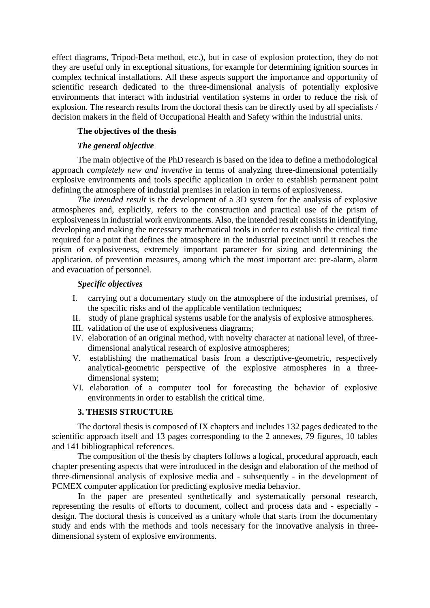effect diagrams, Tripod-Beta method, etc.), but in case of explosion protection, they do not they are useful only in exceptional situations, for example for determining ignition sources in complex technical installations. All these aspects support the importance and opportunity of scientific research dedicated to the three-dimensional analysis of potentially explosive environments that interact with industrial ventilation systems in order to reduce the risk of explosion. The research results from the doctoral thesis can be directly used by all specialists / decision makers in the field of Occupational Health and Safety within the industrial units.

## **The objectives of the thesis**

#### *The general objective*

The main objective of the PhD research is based on the idea to define a methodological approach *completely new and inventive* in terms of analyzing three-dimensional potentially explosive environments and tools specific application in order to establish permanent point defining the atmosphere of industrial premises in relation in terms of explosiveness.

*The intended result* is the development of a 3D system for the analysis of explosive atmospheres and, explicitly, refers to the construction and practical use of the prism of explosiveness in industrial work environments. Also, the intended result consists in identifying, developing and making the necessary mathematical tools in order to establish the critical time required for a point that defines the atmosphere in the industrial precinct until it reaches the prism of explosiveness, extremely important parameter for sizing and determining the application. of prevention measures, among which the most important are: pre-alarm, alarm and evacuation of personnel.

# *Specific objectives*

- I. carrying out a documentary study on the atmosphere of the industrial premises, of the specific risks and of the applicable ventilation techniques;
- II. study of plane graphical systems usable for the analysis of explosive atmospheres.
- III. validation of the use of explosiveness diagrams;
- IV. elaboration of an original method, with novelty character at national level, of threedimensional analytical research of explosive atmospheres;
- V. establishing the mathematical basis from a descriptive-geometric, respectively analytical-geometric perspective of the explosive atmospheres in a threedimensional system;
- VI. elaboration of a computer tool for forecasting the behavior of explosive environments in order to establish the critical time.

#### **3. THESIS STRUCTURE**

The doctoral thesis is composed of IX chapters and includes 132 pages dedicated to the scientific approach itself and 13 pages corresponding to the 2 annexes, 79 figures, 10 tables and 141 bibliographical references.

The composition of the thesis by chapters follows a logical, procedural approach, each chapter presenting aspects that were introduced in the design and elaboration of the method of three-dimensional analysis of explosive media and - subsequently - in the development of PCMEX computer application for predicting explosive media behavior.

In the paper are presented synthetically and systematically personal research, representing the results of efforts to document, collect and process data and - especially design. The doctoral thesis is conceived as a unitary whole that starts from the documentary study and ends with the methods and tools necessary for the innovative analysis in threedimensional system of explosive environments.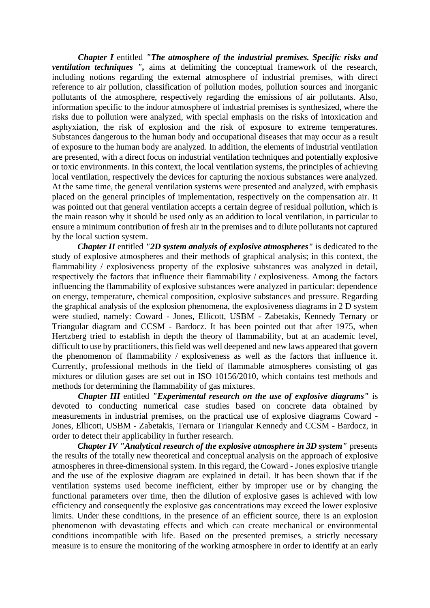*Chapter I* entitled *"The atmosphere of the industrial premises. Specific risks and ventilation techniques ",* aims at delimiting the conceptual framework of the research, including notions regarding the external atmosphere of industrial premises, with direct reference to air pollution, classification of pollution modes, pollution sources and inorganic pollutants of the atmosphere, respectively regarding the emissions of air pollutants. Also, information specific to the indoor atmosphere of industrial premises is synthesized, where the risks due to pollution were analyzed, with special emphasis on the risks of intoxication and asphyxiation, the risk of explosion and the risk of exposure to extreme temperatures. Substances dangerous to the human body and occupational diseases that may occur as a result of exposure to the human body are analyzed. In addition, the elements of industrial ventilation are presented, with a direct focus on industrial ventilation techniques and potentially explosive or toxic environments. In this context, the local ventilation systems, the principles of achieving local ventilation, respectively the devices for capturing the noxious substances were analyzed. At the same time, the general ventilation systems were presented and analyzed, with emphasis placed on the general principles of implementation, respectively on the compensation air. It was pointed out that general ventilation accepts a certain degree of residual pollution, which is the main reason why it should be used only as an addition to local ventilation, in particular to ensure a minimum contribution of fresh air in the premises and to dilute pollutants not captured by the local suction system.

*Chapter II* entitled *"2D system analysis of explosive atmospheres"* is dedicated to the study of explosive atmospheres and their methods of graphical analysis; in this context, the flammability / explosiveness property of the explosive substances was analyzed in detail, respectively the factors that influence their flammability / explosiveness. Among the factors influencing the flammability of explosive substances were analyzed in particular: dependence on energy, temperature, chemical composition, explosive substances and pressure. Regarding the graphical analysis of the explosion phenomena, the explosiveness diagrams in 2 D system were studied, namely: Coward - Jones, Ellicott, USBM - Zabetakis, Kennedy Ternary or Triangular diagram and CCSM - Bardocz. It has been pointed out that after 1975, when Hertzberg tried to establish in depth the theory of flammability, but at an academic level, difficult to use by practitioners, this field was well deepened and new laws appeared that govern the phenomenon of flammability / explosiveness as well as the factors that influence it. Currently, professional methods in the field of flammable atmospheres consisting of gas mixtures or dilution gases are set out in ISO 10156/2010, which contains test methods and methods for determining the flammability of gas mixtures.

*Chapter III* entitled *"Experimental research on the use of explosive diagrams"* is devoted to conducting numerical case studies based on concrete data obtained by measurements in industrial premises, on the practical use of explosive diagrams Coward - Jones, Ellicott, USBM - Zabetakis, Ternara or Triangular Kennedy and CCSM - Bardocz, in order to detect their applicability in further research.

*Chapter IV "Analytical research of the explosive atmosphere in 3D system"* presents the results of the totally new theoretical and conceptual analysis on the approach of explosive atmospheres in three-dimensional system. In this regard, the Coward - Jones explosive triangle and the use of the explosive diagram are explained in detail. It has been shown that if the ventilation systems used become inefficient, either by improper use or by changing the functional parameters over time, then the dilution of explosive gases is achieved with low efficiency and consequently the explosive gas concentrations may exceed the lower explosive limits. Under these conditions, in the presence of an efficient source, there is an explosion phenomenon with devastating effects and which can create mechanical or environmental conditions incompatible with life. Based on the presented premises, a strictly necessary measure is to ensure the monitoring of the working atmosphere in order to identify at an early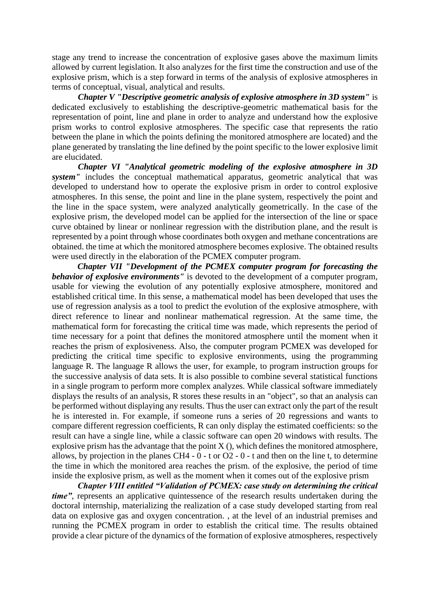stage any trend to increase the concentration of explosive gases above the maximum limits allowed by current legislation. It also analyzes for the first time the construction and use of the explosive prism, which is a step forward in terms of the analysis of explosive atmospheres in terms of conceptual, visual, analytical and results.

*Chapter V "Descriptive geometric analysis of explosive atmosphere in 3D system"* is dedicated exclusively to establishing the descriptive-geometric mathematical basis for the representation of point, line and plane in order to analyze and understand how the explosive prism works to control explosive atmospheres. The specific case that represents the ratio between the plane in which the points defining the monitored atmosphere are located) and the plane generated by translating the line defined by the point specific to the lower explosive limit are elucidated.

*Chapter VI "Analytical geometric modeling of the explosive atmosphere in 3D system*" includes the conceptual mathematical apparatus, geometric analytical that was developed to understand how to operate the explosive prism in order to control explosive atmospheres. In this sense, the point and line in the plane system, respectively the point and the line in the space system, were analyzed analytically geometrically. In the case of the explosive prism, the developed model can be applied for the intersection of the line or space curve obtained by linear or nonlinear regression with the distribution plane, and the result is represented by a point through whose coordinates both oxygen and methane concentrations are obtained. the time at which the monitored atmosphere becomes explosive. The obtained results were used directly in the elaboration of the PCMEX computer program.

*Chapter VII "Development of the PCMEX computer program for forecasting the behavior of explosive environments"* is devoted to the development of a computer program, usable for viewing the evolution of any potentially explosive atmosphere, monitored and established critical time. In this sense, a mathematical model has been developed that uses the use of regression analysis as a tool to predict the evolution of the explosive atmosphere, with direct reference to linear and nonlinear mathematical regression. At the same time, the mathematical form for forecasting the critical time was made, which represents the period of time necessary for a point that defines the monitored atmosphere until the moment when it reaches the prism of explosiveness. Also, the computer program PCMEX was developed for predicting the critical time specific to explosive environments, using the programming language R. The language R allows the user, for example, to program instruction groups for the successive analysis of data sets. It is also possible to combine several statistical functions in a single program to perform more complex analyzes. While classical software immediately displays the results of an analysis, R stores these results in an "object", so that an analysis can be performed without displaying any results. Thus the user can extract only the part of the result he is interested in. For example, if someone runs a series of 20 regressions and wants to compare different regression coefficients, R can only display the estimated coefficients: so the result can have a single line, while a classic software can open 20 windows with results. The explosive prism has the advantage that the point  $X$  (), which defines the monitored atmosphere, allows, by projection in the planes CH4 -  $\overline{0}$  - t or O2 - 0 - t and then on the line t, to determine the time in which the monitored area reaches the prism. of the explosive, the period of time inside the explosive prism, as well as the moment when it comes out of the explosive prism

*Chapter VIII entitled "Validation of PCMEX: case study on determining the critical time*", represents an applicative quintessence of the research results undertaken during the doctoral internship, materializing the realization of a case study developed starting from real data on explosive gas and oxygen concentration. , at the level of an industrial premises and running the PCMEX program in order to establish the critical time. The results obtained provide a clear picture of the dynamics of the formation of explosive atmospheres, respectively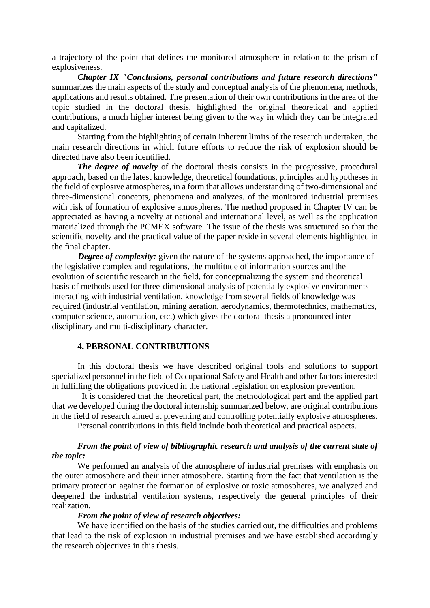a trajectory of the point that defines the monitored atmosphere in relation to the prism of explosiveness.

*Chapter IX "Conclusions, personal contributions and future research directions"*  summarizes the main aspects of the study and conceptual analysis of the phenomena, methods, applications and results obtained. The presentation of their own contributions in the area of the topic studied in the doctoral thesis, highlighted the original theoretical and applied contributions, a much higher interest being given to the way in which they can be integrated and capitalized.

Starting from the highlighting of certain inherent limits of the research undertaken, the main research directions in which future efforts to reduce the risk of explosion should be directed have also been identified.

*The degree of novelty* of the doctoral thesis consists in the progressive, procedural approach, based on the latest knowledge, theoretical foundations, principles and hypotheses in the field of explosive atmospheres, in a form that allows understanding of two-dimensional and three-dimensional concepts, phenomena and analyzes. of the monitored industrial premises with risk of formation of explosive atmospheres. The method proposed in Chapter IV can be appreciated as having a novelty at national and international level, as well as the application materialized through the PCMEX software. The issue of the thesis was structured so that the scientific novelty and the practical value of the paper reside in several elements highlighted in the final chapter.

*Degree of complexity:* given the nature of the systems approached, the importance of the legislative complex and regulations, the multitude of information sources and the evolution of scientific research in the field, for conceptualizing the system and theoretical basis of methods used for three-dimensional analysis of potentially explosive environments interacting with industrial ventilation, knowledge from several fields of knowledge was required (industrial ventilation, mining aeration, aerodynamics, thermotechnics, mathematics, computer science, automation, etc.) which gives the doctoral thesis a pronounced interdisciplinary and multi-disciplinary character.

#### **4. PERSONAL CONTRIBUTIONS**

In this doctoral thesis we have described original tools and solutions to support specialized personnel in the field of Occupational Safety and Health and other factors interested in fulfilling the obligations provided in the national legislation on explosion prevention.

 It is considered that the theoretical part, the methodological part and the applied part that we developed during the doctoral internship summarized below, are original contributions in the field of research aimed at preventing and controlling potentially explosive atmospheres.

Personal contributions in this field include both theoretical and practical aspects.

# *From the point of view of bibliographic research and analysis of the current state of the topic:*

We performed an analysis of the atmosphere of industrial premises with emphasis on the outer atmosphere and their inner atmosphere. Starting from the fact that ventilation is the primary protection against the formation of explosive or toxic atmospheres, we analyzed and deepened the industrial ventilation systems, respectively the general principles of their realization.

#### *From the point of view of research objectives:*

We have identified on the basis of the studies carried out, the difficulties and problems that lead to the risk of explosion in industrial premises and we have established accordingly the research objectives in this thesis.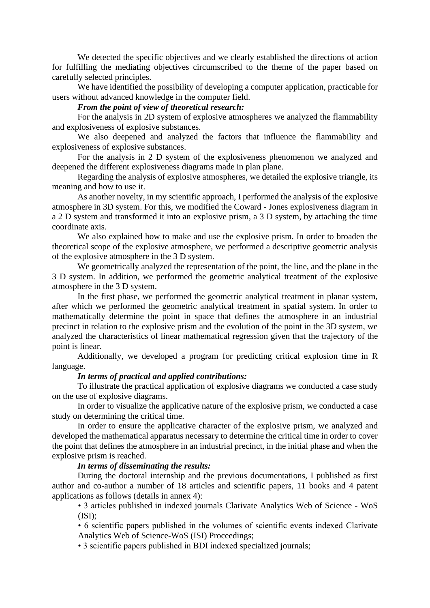We detected the specific objectives and we clearly established the directions of action for fulfilling the mediating objectives circumscribed to the theme of the paper based on carefully selected principles.

We have identified the possibility of developing a computer application, practicable for users without advanced knowledge in the computer field.

# *From the point of view of theoretical research:*

For the analysis in 2D system of explosive atmospheres we analyzed the flammability and explosiveness of explosive substances.

We also deepened and analyzed the factors that influence the flammability and explosiveness of explosive substances.

For the analysis in 2 D system of the explosiveness phenomenon we analyzed and deepened the different explosiveness diagrams made in plan plane.

Regarding the analysis of explosive atmospheres, we detailed the explosive triangle, its meaning and how to use it.

As another novelty, in my scientific approach, I performed the analysis of the explosive atmosphere in 3D system. For this, we modified the Coward - Jones explosiveness diagram in a 2 D system and transformed it into an explosive prism, a 3 D system, by attaching the time coordinate axis.

We also explained how to make and use the explosive prism. In order to broaden the theoretical scope of the explosive atmosphere, we performed a descriptive geometric analysis of the explosive atmosphere in the 3 D system.

We geometrically analyzed the representation of the point, the line, and the plane in the 3 D system. In addition, we performed the geometric analytical treatment of the explosive atmosphere in the 3 D system.

In the first phase, we performed the geometric analytical treatment in planar system, after which we performed the geometric analytical treatment in spatial system. In order to mathematically determine the point in space that defines the atmosphere in an industrial precinct in relation to the explosive prism and the evolution of the point in the 3D system, we analyzed the characteristics of linear mathematical regression given that the trajectory of the point is linear.

Additionally, we developed a program for predicting critical explosion time in R language.

## *In terms of practical and applied contributions:*

To illustrate the practical application of explosive diagrams we conducted a case study on the use of explosive diagrams.

In order to visualize the applicative nature of the explosive prism, we conducted a case study on determining the critical time.

In order to ensure the applicative character of the explosive prism, we analyzed and developed the mathematical apparatus necessary to determine the critical time in order to cover the point that defines the atmosphere in an industrial precinct, in the initial phase and when the explosive prism is reached.

# *In terms of disseminating the results:*

During the doctoral internship and the previous documentations, I published as first author and co-author a number of 18 articles and scientific papers, 11 books and 4 patent applications as follows (details in annex 4):

• 3 articles published in indexed journals Clarivate Analytics Web of Science - WoS  $(ISI)$ ;

• 6 scientific papers published in the volumes of scientific events indexed Clarivate Analytics Web of Science-WoS (ISI) Proceedings;

• 3 scientific papers published in BDI indexed specialized journals;